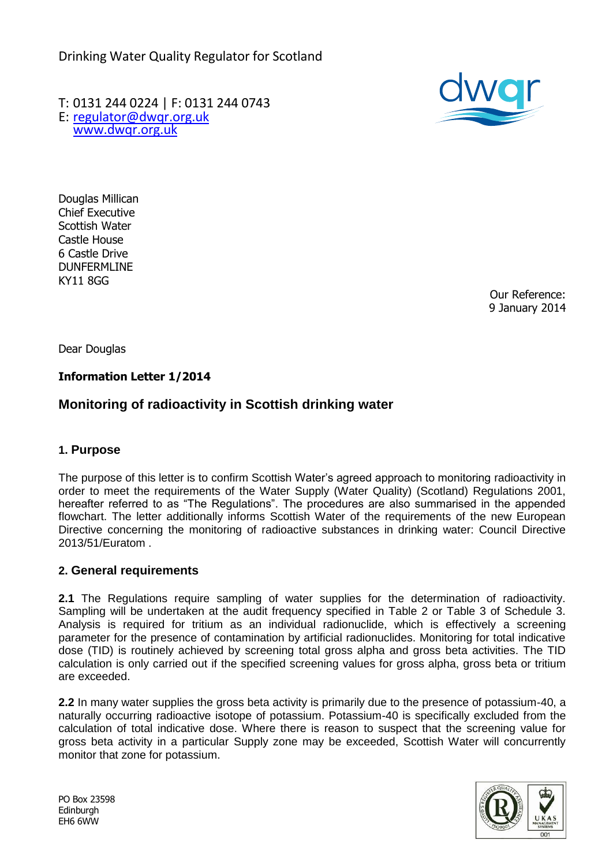Drinking Water Quality Regulator for Scotland

T: 0131 244 0224 | F: 0131 244 0743 E: [regulator@dwqr.org.uk](mailto:regulator@dwqr.org.uk)  [www.dwqr.org.uk](http://www.dwqr.org.uk/)



Douglas Millican Chief Executive Scottish Water Castle House 6 Castle Drive DUNFERMLINE KY11 8GG

Our Reference: 9 January 2014

Dear Douglas

## **Information Letter 1/2014**

# **Monitoring of radioactivity in Scottish drinking water**

#### **1. Purpose**

The purpose of this letter is to confirm Scottish Water's agreed approach to monitoring radioactivity in order to meet the requirements of the Water Supply (Water Quality) (Scotland) Regulations 2001, hereafter referred to as "The Regulations". The procedures are also summarised in the appended flowchart. The letter additionally informs Scottish Water of the requirements of the new European Directive concerning the monitoring of radioactive substances in drinking water: Council Directive 2013/51/Euratom .

#### **2. General requirements**

**2.1** The Regulations require sampling of water supplies for the determination of radioactivity. Sampling will be undertaken at the audit frequency specified in Table 2 or Table 3 of Schedule 3. Analysis is required for tritium as an individual radionuclide, which is effectively a screening parameter for the presence of contamination by artificial radionuclides. Monitoring for total indicative dose (TID) is routinely achieved by screening total gross alpha and gross beta activities. The TID calculation is only carried out if the specified screening values for gross alpha, gross beta or tritium are exceeded.

**2.2** In many water supplies the gross beta activity is primarily due to the presence of potassium-40, a naturally occurring radioactive isotope of potassium. Potassium-40 is specifically excluded from the calculation of total indicative dose. Where there is reason to suspect that the screening value for gross beta activity in a particular Supply zone may be exceeded, Scottish Water will concurrently monitor that zone for potassium.



PO Box 23598 Edinburgh EH6 6WW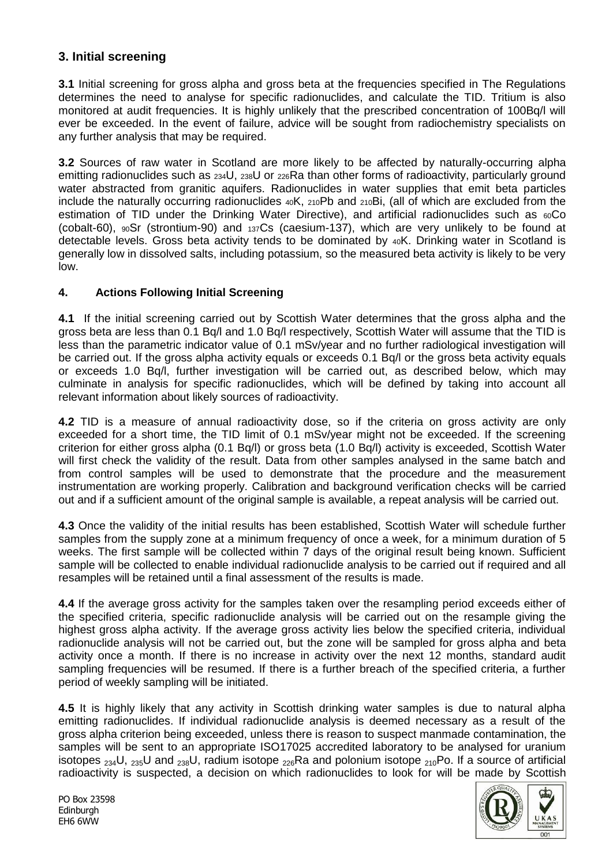# **3. Initial screening**

**3.1** Initial screening for gross alpha and gross beta at the frequencies specified in The Regulations determines the need to analyse for specific radionuclides, and calculate the TID. Tritium is also monitored at audit frequencies. It is highly unlikely that the prescribed concentration of 100Bq/l will ever be exceeded. In the event of failure, advice will be sought from radiochemistry specialists on any further analysis that may be required.

**3.2** Sources of raw water in Scotland are more likely to be affected by naturally-occurring alpha emitting radionuclides such as  $_{234}$ U,  $_{238}$ U or  $_{226}$ Ra than other forms of radioactivity, particularly ground water abstracted from granitic aquifers. Radionuclides in water supplies that emit beta particles include the naturally occurring radionuclides 40K, 210Pb and 210Bi, (all of which are excluded from the estimation of TID under the Drinking Water Directive), and artificial radionuclides such as  $60C$ o (cobalt-60), 90Sr (strontium-90) and 137Cs (caesium-137), which are very unlikely to be found at detectable levels. Gross beta activity tends to be dominated by 40K. Drinking water in Scotland is generally low in dissolved salts, including potassium, so the measured beta activity is likely to be very low.

## **4. Actions Following Initial Screening**

**4.1** If the initial screening carried out by Scottish Water determines that the gross alpha and the gross beta are less than 0.1 Bq/l and 1.0 Bq/l respectively, Scottish Water will assume that the TID is less than the parametric indicator value of 0.1 mSv/year and no further radiological investigation will be carried out. If the gross alpha activity equals or exceeds 0.1 Bq/l or the gross beta activity equals or exceeds 1.0 Bq/l, further investigation will be carried out, as described below, which may culminate in analysis for specific radionuclides, which will be defined by taking into account all relevant information about likely sources of radioactivity.

**4.2** TID is a measure of annual radioactivity dose, so if the criteria on gross activity are only exceeded for a short time, the TID limit of 0.1 mSv/year might not be exceeded. If the screening criterion for either gross alpha (0.1 Bq/l) or gross beta (1.0 Bq/l) activity is exceeded, Scottish Water will first check the validity of the result. Data from other samples analysed in the same batch and from control samples will be used to demonstrate that the procedure and the measurement instrumentation are working properly. Calibration and background verification checks will be carried out and if a sufficient amount of the original sample is available, a repeat analysis will be carried out.

**4.3** Once the validity of the initial results has been established, Scottish Water will schedule further samples from the supply zone at a minimum frequency of once a week, for a minimum duration of 5 weeks. The first sample will be collected within 7 days of the original result being known. Sufficient sample will be collected to enable individual radionuclide analysis to be carried out if required and all resamples will be retained until a final assessment of the results is made.

**4.4** If the average gross activity for the samples taken over the resampling period exceeds either of the specified criteria, specific radionuclide analysis will be carried out on the resample giving the highest gross alpha activity. If the average gross activity lies below the specified criteria, individual radionuclide analysis will not be carried out, but the zone will be sampled for gross alpha and beta activity once a month. If there is no increase in activity over the next 12 months, standard audit sampling frequencies will be resumed. If there is a further breach of the specified criteria, a further period of weekly sampling will be initiated.

**4.5** It is highly likely that any activity in Scottish drinking water samples is due to natural alpha emitting radionuclides. If individual radionuclide analysis is deemed necessary as a result of the gross alpha criterion being exceeded, unless there is reason to suspect manmade contamination, the samples will be sent to an appropriate ISO17025 accredited laboratory to be analysed for uranium isotopes  $_{234}$ U,  $_{235}$ U and  $_{238}$ U, radium isotope  $_{226}$ Ra and polonium isotope  $_{210}$ Po. If a source of artificial radioactivity is suspected, a decision on which radionuclides to look for will be made by Scottish

PO Box 23598 Edinburgh EH6 6WW

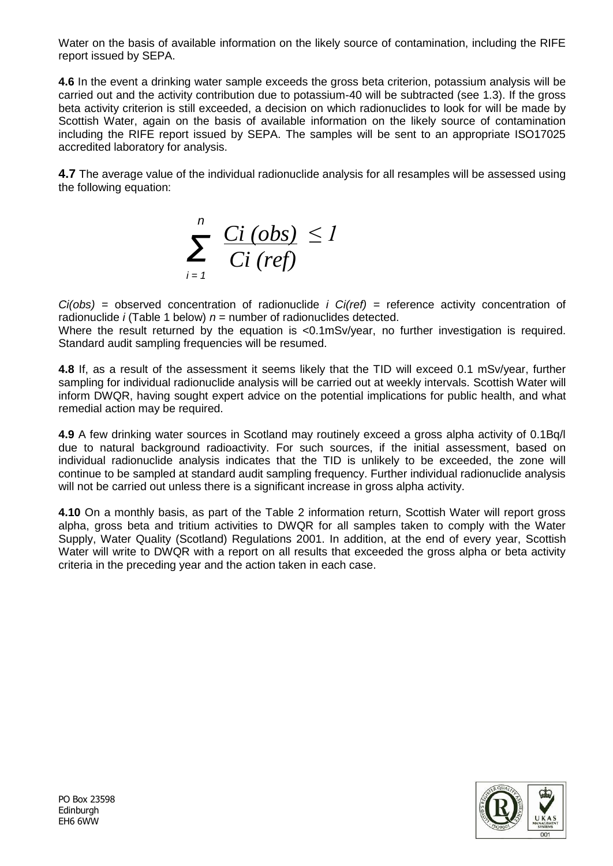Water on the basis of available information on the likely source of contamination, including the RIFE report issued by SEPA.

**4.6** In the event a drinking water sample exceeds the gross beta criterion, potassium analysis will be carried out and the activity contribution due to potassium-40 will be subtracted (see 1.3). If the gross beta activity criterion is still exceeded, a decision on which radionuclides to look for will be made by Scottish Water, again on the basis of available information on the likely source of contamination including the RIFE report issued by SEPA. The samples will be sent to an appropriate ISO17025 accredited laboratory for analysis.

**4.7** The average value of the individual radionuclide analysis for all resamples will be assessed using the following equation:



*Ci(obs)* = observed concentration of radionuclide *i Ci(ref)* = reference activity concentration of radionuclide *i* (Table 1 below)  $n =$  number of radionuclides detected.

Where the result returned by the equation is <0.1mSv/year, no further investigation is required. Standard audit sampling frequencies will be resumed.

**4.8** If, as a result of the assessment it seems likely that the TID will exceed 0.1 mSv/year, further sampling for individual radionuclide analysis will be carried out at weekly intervals. Scottish Water will inform DWQR, having sought expert advice on the potential implications for public health, and what remedial action may be required.

**4.9** A few drinking water sources in Scotland may routinely exceed a gross alpha activity of 0.1Bq/l due to natural background radioactivity. For such sources, if the initial assessment, based on individual radionuclide analysis indicates that the TID is unlikely to be exceeded, the zone will continue to be sampled at standard audit sampling frequency. Further individual radionuclide analysis will not be carried out unless there is a significant increase in gross alpha activity.

**4.10** On a monthly basis, as part of the Table 2 information return, Scottish Water will report gross alpha, gross beta and tritium activities to DWQR for all samples taken to comply with the Water Supply, Water Quality (Scotland) Regulations 2001. In addition, at the end of every year, Scottish Water will write to DWQR with a report on all results that exceeded the gross alpha or beta activity criteria in the preceding year and the action taken in each case.

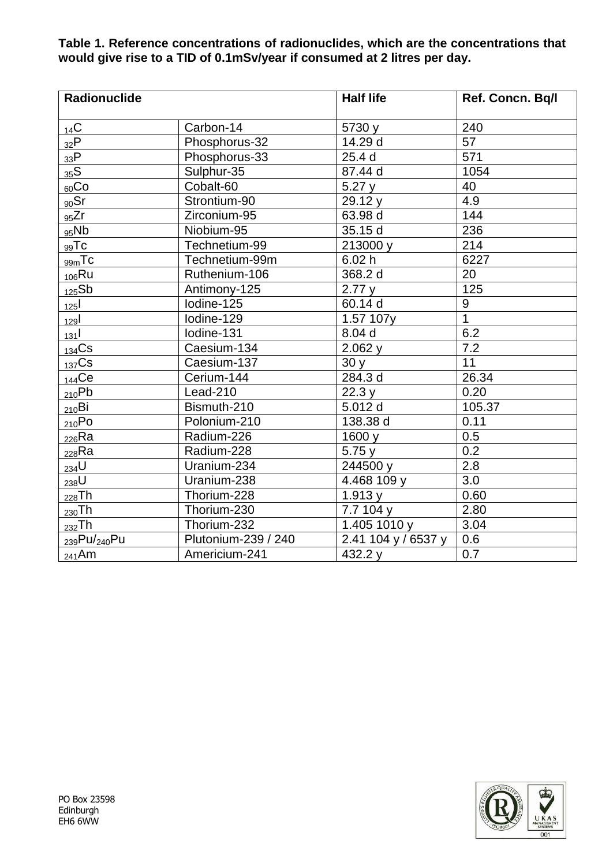#### **Table 1. Reference concentrations of radionuclides, which are the concentrations that would give rise to a TID of 0.1mSv/year if consumed at 2 litres per day.**

| <b>Radionuclide</b>      |                     | <b>Half life</b>    | Ref. Concn. Bq/l |
|--------------------------|---------------------|---------------------|------------------|
| 14C                      | Carbon-14           | 5730 y              | 240              |
| 32P                      | Phosphorus-32       | 14.29 d             | 57               |
| 33P                      | Phosphorus-33       | 25.4 d              | 571              |
| 35S                      | Sulphur-35          | 87.44 d             | 1054             |
| $_{60}Co$                | Cobalt-60           | 5.27y               | 40               |
| 90Sr                     | Strontium-90        | 29.12 y             | 4.9              |
| 95Zr                     | Zirconium-95        | 63.98 d             | 144              |
| 95Nb                     | Niobium-95          | 35.15 d             | 236              |
| $_{99}$ Tc               | Technetium-99       | 213000 y            | 214              |
| $_{99m}$ Tc              | Technetium-99m      | 6.02 h              | 6227             |
| $106$ Ru                 | Ruthenium-106       | 368.2 d             | 20               |
| 125Sb                    | Antimony-125        | 2.77y               | 125              |
| 125                      | Iodine-125          | 60.14 d             | $\boldsymbol{9}$ |
| 129                      | Iodine-129          | 1.57 107y           | $\overline{1}$   |
| 131                      | Iodine-131          | 8.04 d              | 6.2              |
| $134$ Cs                 | Caesium-134         | 2.062y              | $\overline{7.2}$ |
| $137$ Cs                 | Caesium-137         | 30y                 | $\overline{11}$  |
| $_{144}$ Ce              | Cerium-144          | 284.3 d             | 26.34            |
| 210Pb                    | Lead-210            | 22.3 y              | 0.20             |
| $_{210}$ Bi              | Bismuth-210         | 5.012 d             | 105.37           |
| $_{210}$ Po              | Polonium-210        | 138.38 d            | 0.11             |
| $_{226}$ Ra              | Radium-226          | 1600 y              | 0.5              |
| $_{228}$ Ra              | Radium-228          | 5.75y               | 0.2              |
| $234$ U                  | Uranium-234         | 244500 y            | 2.8              |
| $238$ U                  | Uranium-238         | 4.468 109 y         | 3.0              |
| $_{228}$ Th              | Thorium-228         | 1.913y              | 0.60             |
| $_{230}Th$               | Thorium-230         | 7.7104 y            | 2.80             |
| $_{232}$ Th              | Thorium-232         | 1.405 1010 y        | 3.04             |
| 239Pu/ <sub>240</sub> Pu | Plutonium-239 / 240 | 2.41 104 y / 6537 y | 0.6              |
| $_{241}$ Am              | Americium-241       | 432.2 y             | 0.7              |

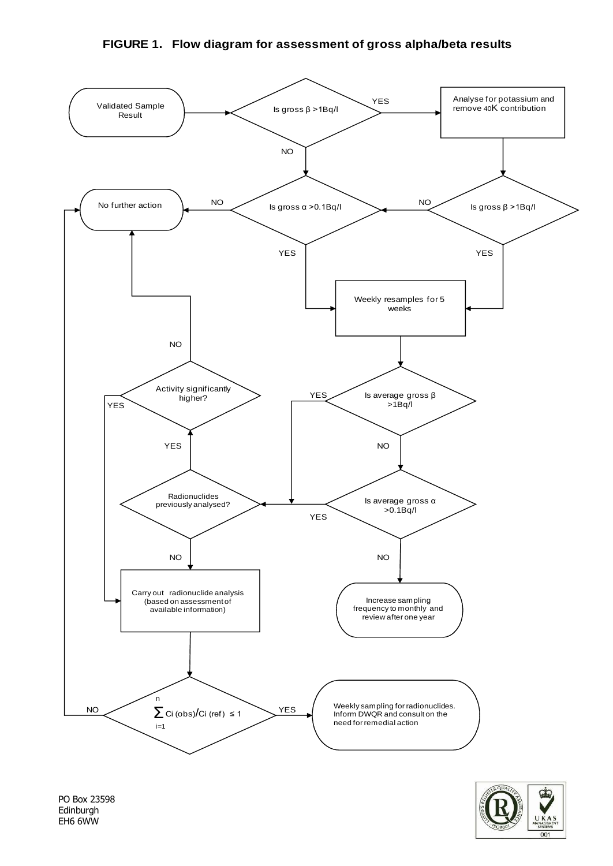#### **FIGURE 1. Flow diagram for assessment of gross alpha/beta results**



PO Box 23598 Edinburgh EH6 6WW

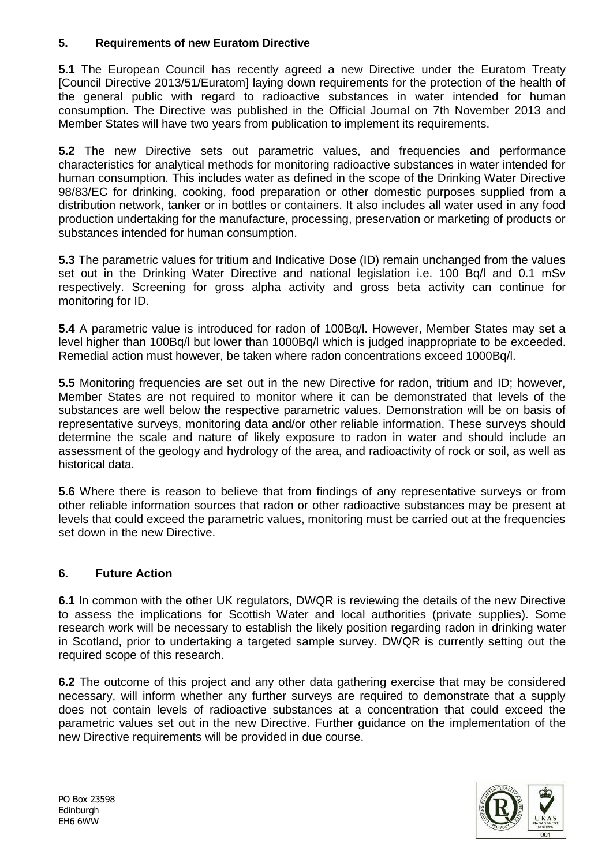## **5. Requirements of new Euratom Directive**

**5.1** The European Council has recently agreed a new Directive under the Euratom Treaty [Council Directive 2013/51/Euratom] laying down requirements for the protection of the health of the general public with regard to radioactive substances in water intended for human consumption. The Directive was published in the Official Journal on 7th November 2013 and Member States will have two years from publication to implement its requirements.

**5.2** The new Directive sets out parametric values, and frequencies and performance characteristics for analytical methods for monitoring radioactive substances in water intended for human consumption. This includes water as defined in the scope of the Drinking Water Directive 98/83/EC for drinking, cooking, food preparation or other domestic purposes supplied from a distribution network, tanker or in bottles or containers. It also includes all water used in any food production undertaking for the manufacture, processing, preservation or marketing of products or substances intended for human consumption.

**5.3** The parametric values for tritium and Indicative Dose (ID) remain unchanged from the values set out in the Drinking Water Directive and national legislation i.e. 100 Bq/l and 0.1 mSv respectively. Screening for gross alpha activity and gross beta activity can continue for monitoring for ID.

**5.4** A parametric value is introduced for radon of 100Bq/l. However, Member States may set a level higher than 100Bq/l but lower than 1000Bq/l which is judged inappropriate to be exceeded. Remedial action must however, be taken where radon concentrations exceed 1000Bq/l.

**5.5** Monitoring frequencies are set out in the new Directive for radon, tritium and ID; however, Member States are not required to monitor where it can be demonstrated that levels of the substances are well below the respective parametric values. Demonstration will be on basis of representative surveys, monitoring data and/or other reliable information. These surveys should determine the scale and nature of likely exposure to radon in water and should include an assessment of the geology and hydrology of the area, and radioactivity of rock or soil, as well as historical data.

**5.6** Where there is reason to believe that from findings of any representative surveys or from other reliable information sources that radon or other radioactive substances may be present at levels that could exceed the parametric values, monitoring must be carried out at the frequencies set down in the new Directive.

# **6. Future Action**

**6.1** In common with the other UK regulators, DWQR is reviewing the details of the new Directive to assess the implications for Scottish Water and local authorities (private supplies). Some research work will be necessary to establish the likely position regarding radon in drinking water in Scotland, prior to undertaking a targeted sample survey. DWQR is currently setting out the required scope of this research.

**6.2** The outcome of this project and any other data gathering exercise that may be considered necessary, will inform whether any further surveys are required to demonstrate that a supply does not contain levels of radioactive substances at a concentration that could exceed the parametric values set out in the new Directive. Further guidance on the implementation of the new Directive requirements will be provided in due course.